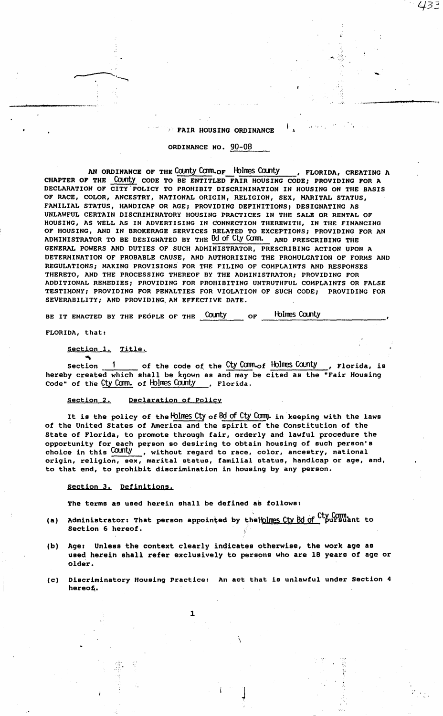FAIR HOUSING ORDINANCE

433

## ORDINANCE NO. 90-08

AN ORDINANCE OF THE COUNty COMM.of Holmes County , FLORIDA, CREATING A CHAPTER OF THE COUNTY CODE TO BE ENTITLED FAIR HOUSING CODE; PROVIDING FOR A DECLARATION OF CITY POLICY TO PROHIBIT DISCRIMINATION IN HOUSING ON THE BASIS OF RACE, COLOR, ANCESTRY, NATIONAL ORIGIN, RELIGION, SEX, MARITAL STATUS, FAMILIAL STATUS, HANDICAP OR AGE; PROVIDING DEFINITIONS; DESIGNATING AS UNLAWFUL CERTAIN DISCRIMINATORY HOUSING PRACTICES IN THE SALE OR RENTAL OF HOUSING, AS WELL AS IN ADVERTISING IN CONNECTION THEREWITH, IN THE FINANCING OF HOUSING, AND IN BROKERAGE SERVICES RELATED TO EXCEPTIONS; PROVIDING FOR AN ADMINISTRATOR TO BE DESIGNATED BY THE BO of Cty Comm. AND PRESCRIBING THE GENERAL POWERS AND DUTIES OF SUCH ADMINISTRATOR, PRESCRIBING ACTION UPON A DETERMINATION OF PROBABLE CAUSE, AND AUTHORIZING THE PROMULGATION OF FORMS AND REGULATIONS; MAKING PROVISIONS FOR THE FILING OF COMPLAINTS AND RESPONSES THERETO, AND THE PROCESSING THEREOF BY THE ADMINISTRATOR; PROVIDING FOR ADDITIONAL REMEDIES; PROVIDING FOR PROHIBITING UNTRUTHFUL COMPLAINTS OR FALSE TESTIMONY; PROVIDING FOR PENALTIES FOR VIOLATION OF SUCH CODE; PROVIDING FOR SEVERABILITY; AND PROVIDING, AN EFFECTIVE DATE.

BE IT ENACTED BY THE PEOPLE OF THE COUNTY OF Holines County

FLORIDA, that:

 $\blacktriangledown$ 

i.

Section 1. Title.

section 1 of the code of the Cty Comm.of Holmes County hereby created which shall be known as and may be cited as the "Fair Housing , Florida, is code" of the Cty Comm. of Holmes County , Florida.

section 2. Declaration of Policy

It is the policy of the Holmes Cty of Bd of Cty Comm. in keeping with the laws of the United States of America and the spirit of the Constitution of the State of Florida, to promote through **fair,** orderly and lawful procedure the opportunity for each person so desiring to obtain housing of such person's choice in this COUNTY , without regard to race, color, ancestry, national origin, religion, **sex,** marital status, familial status, handicap or age, and, to that end, to prohibit discrimination in housing by any person.

section J. Definitions,

...  $\mathbb{R}$  .

The terms as used herein shall be defined as follows:

- **(a)**  Administrator: That person appointed by the Holmes Cty Bd of Cty Comm. Section 6 hereof.
- (b) Age: Unless the context clearly indicates otherwise, the work age as used herein shall refer exclusively to persons who are 18 years of age or older.
- (c) Discriminatory Housing Practice: An act that is unlawful under Section 4 hereof.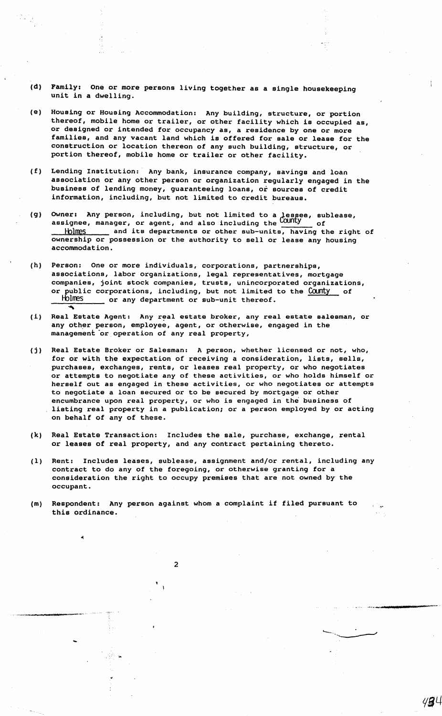- (d) Family: One or more persons living together as a single housekeeping unit in a dwelling.
- (e) Housing or Housing Accommodation: Any building, structure, or portion thereof, mobile home or trailer, or other facility which is occupied as, or designed or intended for occupancy as, a residence by one or more families, and any vacant land which is offered for sale or lease for the construction or location thereon of any such building, structure, or portion thereof, mobile home or trailer or other facility.
- (f) Lending Institution:· Any bank, insurance company, savings and loan association or any other person or organization regularly engaged in the business of lending money, guaranteeing loans, or sources of credit information, including, but not limited to credit bureaus.
- (g) Owner: Any person, including, but not limited to a lessee, sublease, assignee, manager, or agent, and also including the  $\overline{\text{Country}}$  of ignee, manager, or agent, and also including the **COUTILY** of<br>Holmes <u>shake</u> and its departments or other sub-units, having the right of ownership or possession or the authority to sell or lease any housing accommodation.
- (h) Person: One or more individuals, corporations, partnerships, associations, labor organizations, legal representatives, mortgage companies, joint stock companies, trusts, unincorporated organizations, or public corporations, including, but not limited to the County of Holmes or any department or sub-unit thereof.
- (i) Real Estate Agent: Any real estate broker, any real estate salesman, or any other person, employee, agent, or otherwise, engaged in the management or operation of any real property,
- (j) Real Estate Broker or Salesman: A person, whether licensed or not, who, for or with the expectation of receiving a consideration, lists, sells, purchases, exchanges, rents, or leases real property, or who negotiates or attempts to negotiate any of these activities, or who holds himself or herself out as engaged in these activities, or who negotiates or attempts to negotiate a loan secured or to be secured by mortgage or other encumbrance upon real property, or who is engaged in the business of listing real property in a publication; or a person employed by or acting on behalf of any of these.
- (k) Real Estate Transaction: Includes the sale, purchase, exchange, rental or leases of real property, and any contract pertaining thereto.
- (1) Rent: Includes leases, sublease, assignment and/or rental, including any contract to do any of the foregoing, or otherwise granting for a consideration the right to occupy premises that are not owned by the occupant.
- (m) Respondent: Any person against whom a complaint if filed pursuant to this ordinance.

 $\overline{2}$ 

...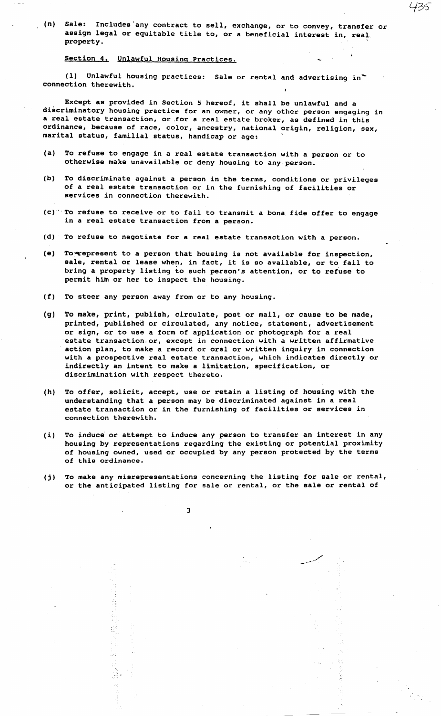, (n) Sale: Includes·any contract to sell, exchange, or to convey, transfer or assign legal or equitable title to, or a beneficial interest in, real. property.

435

## Section 4. Unlawful Housing Practices.

(l) Unlawful housing practices: Sale or rental and advertising in~ connection therewith,

Except as provided in Section 5 hereof, it shall be unlawful and a discriminatory housing practice for an owner, or any other person engaging in a real **estate** transaction, or for a real estate broker, as defined in this ordinance, because of race, color, ancestry, national origin, religion, sex, marital status, familial status, handicap or age:

- (a) To refuse to engage in a real estate transaction with a person or to otherwise make unavailable or deny housing to any person.
- (b) To discriminate against a person in the terms, conditions or privileges of a real estate transaction or in the furnishing of facilities or services in connection therewith.
- (c)·' To refuse to receive or to fail to transmit a bona fide offer to engage in a real estate transaction from a person.
- (d) To refuse to negotiate for a real estate transaction with a person.
- (e) To-represent to a person that housing is not available for inspection, **sale,** rental or lease when, in fact, it is so available, or to fail to bring a property listing to such person's attention, or to refuse to permit him or her to inspect the housing.
- (f) To steer any person away from or to any housing.
- (g) To make, print, publish, circulate, post or mail, or cause to be made, printed, published or circulated, any notice, statement, advertisement or sign, or to use a form of application or photograph for a real estate transaction.or, except in connection with a written affirmative action plan, to make a record or oral or written inquiry in connection with a prospective real estate transaction, which indicates directly or indirectly an intent to make a limitation, specification, or discrimination with respect thereto.
- (h) To offer, solicit, accept, use or retain a listing of housing with the understanding that a person may be discriminated against in a real estate transaction or in the furnishing of facilities or services in connection therewith,
- (i) To induce or attempt to induce any person to transfer an interest in any housing by representations regarding the existing or potential proximity of housing owned, used or occupied by any person protected by the terms of **this** ordinance.
- (j) To make any misrepresentations concerning the listing for **sale** or rental, or the anticipated listing for sale or rental, or the **sale** or rental of

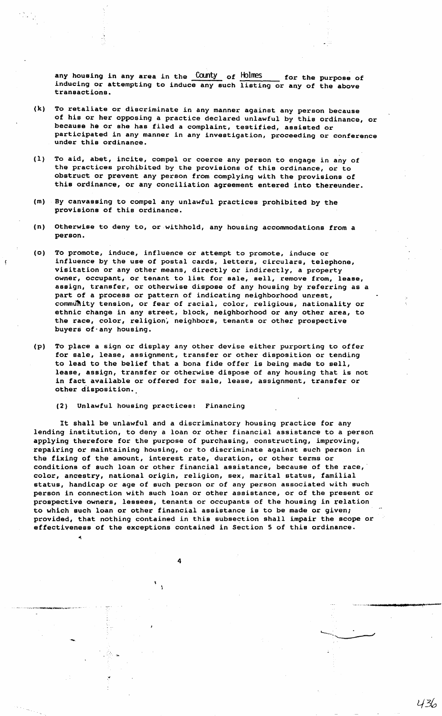any housing in any area in the  $\frac{\text{Country}}{\text{of}}$  of  $\frac{\text{Holmes}}{\text{of}}$  for the purpose of inducing or attempting to induce any such listing or any of the above transactions.

- (k) To retaliate or discriminate in any manner against any person because of his or her opposing a practice declared unlawful by this ordinance, or because he or she has filed a complaint, testified, assisted or participated in any manner in any investigation, proceeding or conference under this ordinance.
- (l) To aid, abet, incite, compel or coerce any person to engage in any of the practices prohibited by the provisions of this ordinance, or to obstruct or prevent any person from complying with the provisions of this ordinance, or any conciliation agreement entered into thereunder.
- (m) **By canvassing** to compel any unlawful practices prohibited by the **provisions** of this ordinance.
- (n) Otherwise to deny to, or withhold, any housing accommodations from a person.
- (o) To promote, induce, influence or attempt to promote, induce or influence by the use of postal cards, letters, circulars, telephone, visitation or any other means, directly or indirectly, a property owner, occupant, or tenant to list for sale, sell, remove from, **lease, assign,** transfer, or otherwise dispose of any housing by referring as a part of a process or pattern of indicating neighborhood unrest, community tension, or fear of racial, color, religious, nationality or ethnic change in any street, block, neighborhood or any other area, to the race, color, religion, neighbors, tenants or other prospective buyers of·any housing.
- (p) To place a sign or display any other devise either purporting to offer for **sale,** lease, assignment, transfer or other disposition or tending to lead to the belief that a bona fide offer is being made to sell, lease, assign, transfer or otherwise dispose of any housing that is not in fact available or offered for sale, lease, assignment, transfer or other d'isposition •.

(2) Unlawful housing practices: Financing

~

It shall be unlawful and a discriminatory housing practice for any lending institution, to deny a loan or other financial assistance to a person applying therefore for the purpose of purchasing, constructing, improving, repairing or maintaining housing, or to discriminate against such person in the fixing of the amount, interest rate, duration, or other terms or conditions of such loan or other financial assistance, because of the race, color, ancestry, national origin, religion, sex, marital status, familial status, handicap or age of such person or of any person associated with such person in connection with such loan or other assistance, or of the present or prospective owners, lessees, tenants or occupants of the housing in relation to which such loan or other financial assistance is to be made or given; provided, that nothing contained in this subsection shall impair the scope or effectiveness of the exceptions contained in Section S of this ordinance.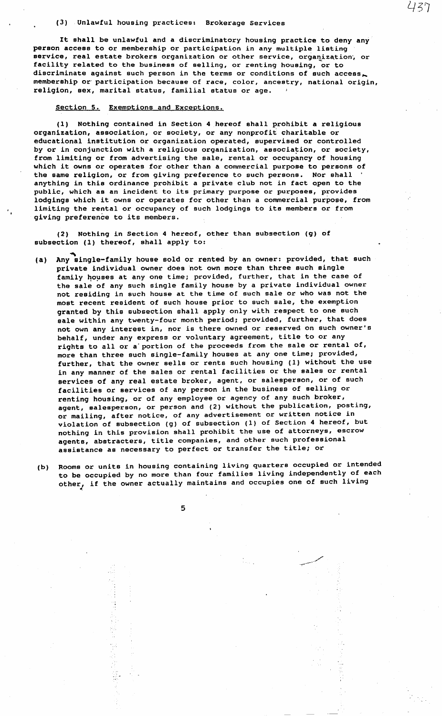### (3) Unlawful housing practices: Brokerage Services

It shall be unlawful and a discriminatory housing practice to deny any person **access** to or membership or participation in any multiple listing service, real estate brokers organization or other service, organization, or facility related to the business of selling, or renting housing, or to discriminate against such person in the terms or conditions of such access. membership or· participation because of race, color, ancestry, national origin, religion, **sex,** marital statue, familial statue or age.

437

## Section 5. Exemptions and Exceptions.

(1) Nothing contained in Section 4 hereof shall prohibit a religious organization, association, or society, or any nonprofit charitable or educational institution or organization operated, supervised or controlled by or in conjunction with a religious organization, association, or society, from limiting or from advertising the sale, rental or occupancy of housing which it owns or operates for other than a commercial purpose to persons of the same religion, or from giving preference to such persons. Nor shall anything in this ordinance prohibit a private club not in fact open to the public, which as an incident to its primary purpose or purposes, provides lodgings which it owns or operates for other than a commercial purpose, from limiting the rental or occupancy of such lodgings to its members or from giving preference to its members.

(2) Nothing in Section 4 hereof, other than subsection (g) of subsection (1) thereof, shall apply to:

- (a) Any single-family house sold or rented by an owner: provided, that such private individual owner does not own more than three such single family houses at any one time; provided, further, that in the case of the sale of any such single family house by a private individual owner not residing in such house at the time of such sale or who was not the most recent resident of such house prior to such sale, the exemption granted by this subsection shall apply only with respect to one such **sale** within any twenty-four month period; provided, further, that does not own any interest in, nor is there owned or reserved on such owner's behalf, under any express or voluntary agreement, title to or any rights to all or a'portion of the proceeds from the sale or rental of, more than three such single-family houses at any one time; provided, further, that the owner sells or rents such housing (1) without the use in any manner of the sales or rental facilities or the sales or rental services of any real estate broker, agent, or salesperson, or of such facilities or services of any person in the business of selling or renting housing, or of any employee or agency of any such broker, agent, salesperson, or person and (2) without the publication, posting, or mailing, after notice, of any advertisement or written notice in violation of subsection (g) of subsection (1) of Section **4** hereof, but nothing in this provision shall prohibit the use of attorneys, escrow agents, abstracters, title companies, and other such professional assistance as necessary to perfect or transfer the title; or
- (b) Rooms or units in housing containing living quarters occupied or intended to be occupied by no more than four families living independently of each co be occupied by no more end about an and occupies one of such living other, if the owner actually maintains and occupies one of such living

5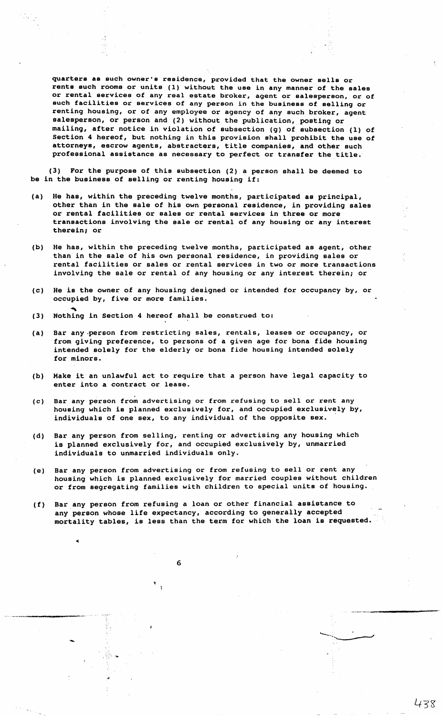quarters as such owner's residence, provided that the owner sells or rents such rooms or units (l) without the use in any manner of the sales or rental services of any real estate broker, agent or salesperson, or of such facilities or services of any person in the business of selling or renting housing, or of any employee or agency of any such broker, agent salesperson, or person and (2) without the publication, posting or mailing, after notice in violation of subsection (g) of subsection (1) of Section 4 hereof, but nothing in this provision shall prohibit the use of attorneys, escrow agents, abstracters, title companies, and other such professional assistance as necessary to perfect or transfer the title,

(J) For the purpose of this subsection (2) a person shall be deemed to be in the business of selling or renting housing if:

- (a) He has, within the preceding twelve months, participated as principal, other than in the sale of his own personal residence, in providing sales or rental facilities or sales or rental services in three or more transactions involving the sale or rental of any housing or any interest therein; or
- (b) He has, within the preceding twelve months, participated as agent, other than in the sale of his own personal residence, in providing sales or rental facilities or sales or rental services in two or more transactions involving the sale or rental of any housing or any interest therein; or
- (c) He is the owner of any housing designed or intended for occupancy by, or occupied by, five or more families.
- a<br>(3) Nothing in Section 4 hereof shall be construed to:
- (a) Bar any ,person from restricting sales, rentals, leases or occupancy, or from giving preference, to persons of a given age for bona fide housing intended solely for the elderly or bona fide housing intended solely for minors.
- (b) Make it an unlawful act to require that a person have legal capacity to enter into a contract or lease.
- (c) Bar any person from advertising or from refusing to sell or rent any housing which is planned exclusively for, and occupied exclusively by, individuals of one sex, to any individual of the opposite sex.
- (d) Bar any person from selling, renting or advertising any housing which is planned exclusively for, and occupied exclusively by, unmarried individuals to unmarried individuals only.
- (e) Bar any person from advertising or from refusing to sell or rent any housing which is planned exclusively for married couples without children or from segregating families with children to special units of housing.
- (f) Bar any person from refusing a loan or other financial **assistance** to any person whose life expectancy, according to generally accepted mortality tables, is less than the term for which the loan is requested.

6

...

\_\_ , ..... \_\_\_ .\_\_.,.\_~ ....

--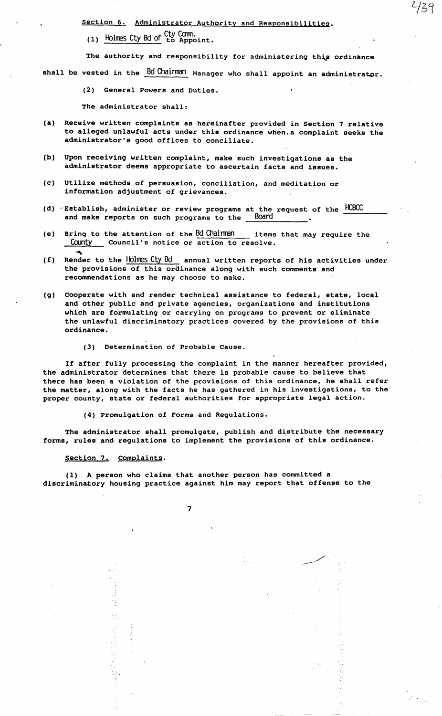Section 6. Administrator Authority and Responsibilities.

(1) Holmes Cty Bd of Cty Comm.<br>to Appoint.

The authority and responsibility for administering this ordinance

739

shall be vested in the  $Bd$  Chairman Manager who shall appoint an administrator.

(2) General Powers and Duties,

The administrator shall:

- **(a)** Receive written complaints as hereinafter provided in Section 7 relative to alleged unlawful acts under this ordinance when, a complaint seeks the administrator's good offices to conciliate.
- (b) Upon receiving written complaint, make such investigations as the administrator deems appropriate to ascertain facts and **issues.**
- (c) Utilize methods of persuasion, conciliation, and meditation or information adjustment of grievances.
- ( d) **"Establish,** administer or review programs at the request of the 1-CBCC and make reports on such programs to the Board
- (e) Bring to the attention of the Bd Chairman items that may require the County Council's notice or action to resolve.
- $(f)$  Render to the Holmes Cty Bd annual written reports of his activities under the provisions of this ordinance along with such comments and recommendations as he may choose to make.
- (g) Cooperate with and render technical assistance to federal, state, local and other public and private agencies, organizations and institutions which are formulating or carrying on programs to prevent or eliminate the unlawful discriminatory practices covered by the provisions of this ordinance,
	- (3) Determination of Probable Cause.

If after fully processing the complaint in the manner hereafter provided, the administrator determines that there is probable cause to believe that there has been a violation of the provisions of this ordinance, he shall refer the matter, along with the facts he has gathered in his investigations, to the proper county, state or federal authorities for appropriate legal action.

(4) Promulgation of Forms and Regulations.

The administrator shall promulgate, publish and distribute the necessary **forms, rules and** regulations to implement the provisions of this ordinance.

section 7. complaints.

(1) A person who claims that another person has committed a discriminatory housing practice against him may report that offense to the

Y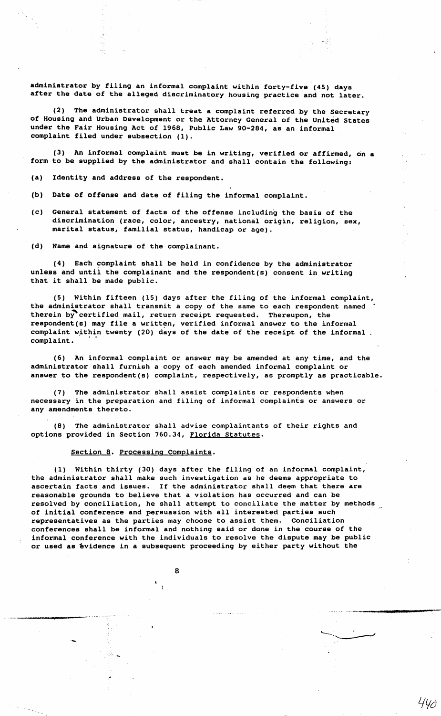administrator by filing an informal complaint within forty-five (45) days after the date of the alleged discriminatory housing practice and not later.

(2) The administrator shall treat a complaint referred by the Secretary of Housing and Urban Development or the Attorney General of the United states under the Fair Housing Act of 1968, Public Law 90-284, as an informal complaint filed under subsection (1).

(3) An informal complaint must be in writing, verified or affirmed, on a form to be supplied by the administrator and shall contain the following:

- (a) Identity and address of the respondent.
- (b) Date of offense and date of filing the informal complaint.
- (c) General statement of facts of the offense including the **basis** of the discrimination (race, color, ancestry, national origin, religion, sex, marital status, familial status, handicap or age).

(d) Name and signature of the complainant.

(4) Each complaint shall be held in confidence by the administrator unless and until the complainant and the respondent(s) consent in writing that it shall be made public.

(5) Within fifteen (15) days after the filing of the informal complaint, the administrator shall transmit a copy of the same to each respondent named therein by"certified mail, return receipt requested. Thereupon, the respondent(s) may file a written, verified informal answer to the informal complaint within twenty (20) days of the date of the receipt of the informal. complaint.

(6) An informal complaint or answer may be amended at any time, and the administrator shall furnish a copy of each amended informal complaint or answer to the respondent(s) complaint, respectively, as promptly as practicable.

(7) The administrator shall assist complaints or respondents when necessary in the preparation and filing of informal complaints or answers or any amendments thereto.

(8) The administrator shall advise complaintants of their rights and options provided in Section 760.34, Florida statutes.

### Section 8. Processing Complaints.

 $\mathcal{L}$ 

·-

(1) Within thirty (30) days after the filing of an informal complaint, the administrator shall make such investigation as he deems appropriate to ascertain facts and issues. If the administrator shall deem that there are reasonable grounds to believe that a violation has occurred and can be resolved by conciliation, he shall attempt to conciliate the matter by methods of initial conference and persuasion with all interested parties such representatives as the parties may choose to assist them. Conciliation conferences shall be informal and nothing said or done in the course of the informal conference with the individuals to resolve the dispute may be public or used as *evidence in a subsequent proceeding by either party without the* 

440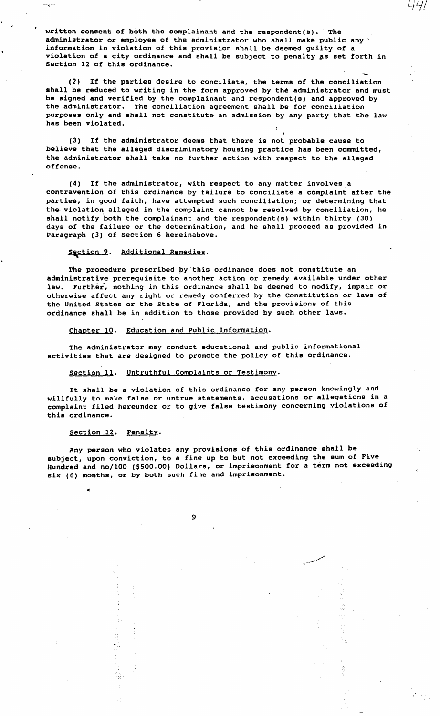written consent of both the complainant and the respondent(s). The administrator or employee of the administrator who shall make public any· information in violation of this provision shall be deemed guilty of a violation of a city ordinance and shall be subject to penalty as set forth in Section 12 of this ordinance.

(2) If the parties desire to conciliate, the terms of the conciliation shall be reduced to writing in the form approved by the administrator and must be signed and verified by the complainant and respondent(s) and approved by the administrator. The conciliation agreement shall be for conciliation purposes only and shall not constitute an admission by any party that the law has been violated.

(3) If the administrator deems that there is not probable cause to believe that the alleged discriminatory housing practice has been committed, the administrator shall take no further action with respect to the alleged offense.

**(4) If** the administrator, with respect to any matter involves a contravention of this ordinance by failure to conciliate a complaint after the **parties,** in good faith, have attempted such conciliation; or determining that the violation alleged in the complaint cannot be resolved by conciliation, he shall notify both the complainant and the respondent(s) within thirty (30) **days** of the failure or the determination, and he shall proceed as provided in **Paragraph** (3) of Section 6 hereinabove.

# section 9. Additional Remedies.

The procedure prescribed by this ordinance does not constitute an administrative prerequisite to another action or remedy available under other law. Further, nothing in this ordinance shall be deemed to modify, impair or otherwise affect any right or remedy conferred by the Constitution or laws of the United States or the State of Florida, and the provisions of this ordinance **shall** be in addition to those provided by such other laws.

### Chapter 10. Education and Public Information.

The administrator may conduct educational and public informational activities that are designed to promote the policy of this ordinance.

#### Section 11. Untruthful Complaints or Testimony.

It shall be a violation of this ordinance for any person knowingly and willfully to make false or untrue statements, accusations or allegations in a complaint filed hereunder or to give false testimony concerning violations of this ordinance.

### Section 12. Penalty.

医发酵用 精神性病毒

...

Any person who violates any provisions of this ordinance shall be subject, upon conviction, to a fine up to but not exceeding the sum of Five Hundred and no/100 (\$500.00) Dollars, or imprisonment for a term not exceeding six (6) months, or by both such fine and imprisonment.